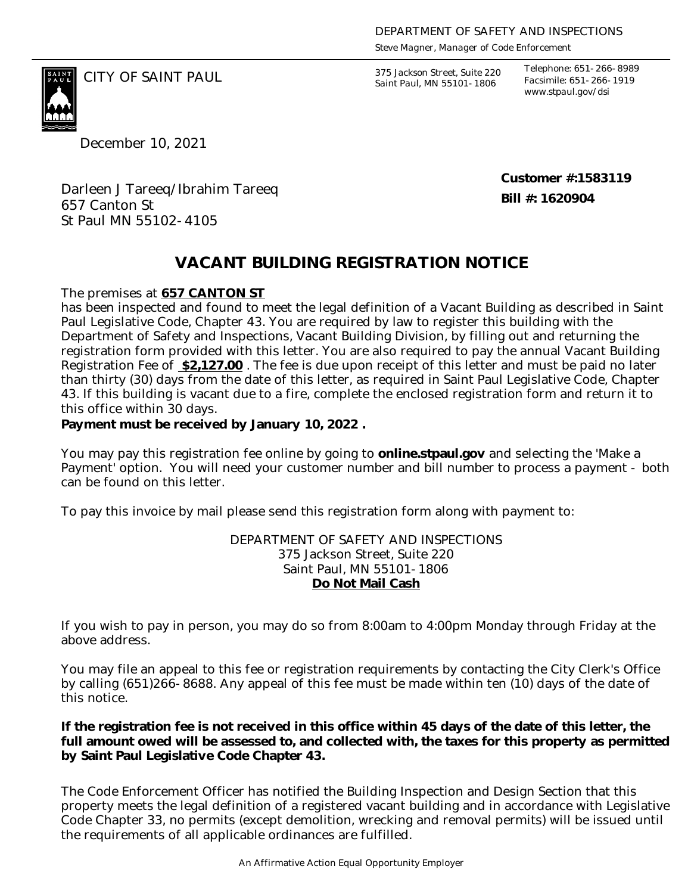*Steve Magner, Manager of Code Enforcement*

375 Jackson Street, Suite 220 *Saint Paul, MN 55101-1806*

*Telephone: 651-266-8989 Facsimile: 651-266-1919 www.stpaul.gov/dsi*

December 10, 2021

CITY OF SAINT PAUL *375 Jackson Street, Suite 220* 

**Customer #:1583119 Bill #: 1620904**

Darleen J Tareeq/Ibrahim Tareeq 657 Canton St St Paul MN 55102-4105

## **VACANT BUILDING REGISTRATION NOTICE**

The premises at **657 CANTON ST**

has been inspected and found to meet the legal definition of a Vacant Building as described in Saint Paul Legislative Code, Chapter 43. You are required by law to register this building with the Department of Safety and Inspections, Vacant Building Division, by filling out and returning the registration form provided with this letter. You are also required to pay the annual Vacant Building Registration Fee of **\$2,127.00** . The fee is due upon receipt of this letter and must be paid no later than thirty (30) days from the date of this letter, as required in Saint Paul Legislative Code, Chapter 43. If this building is vacant due to a fire, complete the enclosed registration form and return it to this office within 30 days.

**Payment must be received by January 10, 2022 .** 

You may pay this registration fee online by going to **online.stpaul.gov** and selecting the 'Make a Payment' option. You will need your customer number and bill number to process a payment - both can be found on this letter.

To pay this invoice by mail please send this registration form along with payment to:

DEPARTMENT OF SAFETY AND INSPECTIONS 375 Jackson Street, Suite 220 Saint Paul, MN 55101-1806 **Do Not Mail Cash**

If you wish to pay in person, you may do so from 8:00am to 4:00pm Monday through Friday at the above address.

You may file an appeal to this fee or registration requirements by contacting the City Clerk's Office by calling (651)266-8688. Any appeal of this fee must be made within ten (10) days of the date of this notice.

**If the registration fee is not received in this office within 45 days of the date of this letter, the full amount owed will be assessed to, and collected with, the taxes for this property as permitted by Saint Paul Legislative Code Chapter 43.**

The Code Enforcement Officer has notified the Building Inspection and Design Section that this property meets the legal definition of a registered vacant building and in accordance with Legislative Code Chapter 33, no permits (except demolition, wrecking and removal permits) will be issued until the requirements of all applicable ordinances are fulfilled.